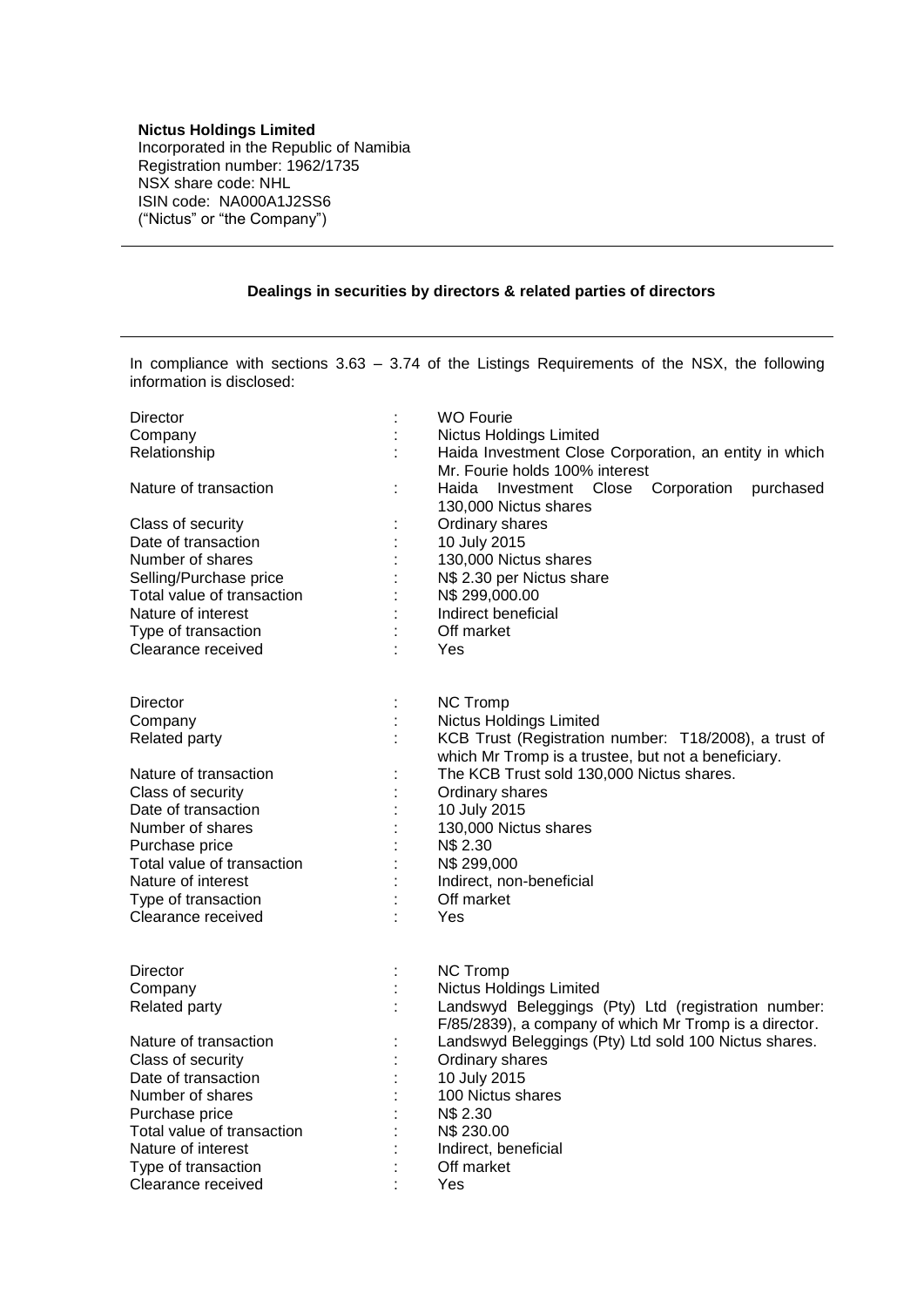## **Nictus Holdings Limited**

Incorporated in the Republic of Namibia Registration number: 1962/1735 NSX share code: NHL ISIN code: NA000A1J2SS6 ("Nictus" or "the Company")

## **Dealings in securities by directors & related parties of directors**

In compliance with sections 3.63 – 3.74 of the Listings Requirements of the NSX, the following information is disclosed:

| Director                   |                | <b>WO Fourie</b>                                       |
|----------------------------|----------------|--------------------------------------------------------|
| Company                    |                | Nictus Holdings Limited                                |
| Relationship               |                | Haida Investment Close Corporation, an entity in which |
|                            |                | Mr. Fourie holds 100% interest                         |
| Nature of transaction      | t,             | Corporation<br>Haida<br>Investment Close<br>purchased  |
|                            |                | 130,000 Nictus shares                                  |
| Class of security          | ÷              | Ordinary shares                                        |
| Date of transaction        | t              | 10 July 2015                                           |
| Number of shares           |                | 130,000 Nictus shares                                  |
| Selling/Purchase price     |                | N\$ 2.30 per Nictus share                              |
| Total value of transaction | $\ddot{\cdot}$ | N\$ 299,000.00                                         |
| Nature of interest         |                | Indirect beneficial                                    |
| Type of transaction        |                | Off market                                             |
| Clearance received         | ÷              | Yes                                                    |
|                            |                |                                                        |
|                            |                |                                                        |
| Director                   | ÷              | <b>NC Tromp</b>                                        |
| Company                    |                | Nictus Holdings Limited                                |
| Related party              | t              | KCB Trust (Registration number: T18/2008), a trust of  |
|                            |                | which Mr Tromp is a trustee, but not a beneficiary.    |
| Nature of transaction      |                | The KCB Trust sold 130,000 Nictus shares.              |
| Class of security          |                | Ordinary shares                                        |
| Date of transaction        |                | 10 July 2015                                           |
| Number of shares           | ł              | 130,000 Nictus shares                                  |
| Purchase price             | $\ddot{\cdot}$ | N\$ 2.30                                               |
| Total value of transaction | t              | N\$ 299,000                                            |
| Nature of interest         |                | Indirect, non-beneficial                               |
| Type of transaction        |                | Off market                                             |
| Clearance received         |                | Yes                                                    |
|                            |                |                                                        |
| <b>Director</b>            | ÷              | <b>NC Tromp</b>                                        |
| Company                    |                | <b>Nictus Holdings Limited</b>                         |
| Related party              | ċ              | Landswyd Beleggings (Pty) Ltd (registration number:    |
|                            |                | F/85/2839), a company of which Mr Tromp is a director. |
| Nature of transaction      | ÷              | Landswyd Beleggings (Pty) Ltd sold 100 Nictus shares.  |
| Class of security          | $\ddot{\cdot}$ | Ordinary shares                                        |
| Date of transaction        |                | 10 July 2015                                           |
| Number of shares           |                | 100 Nictus shares                                      |
| Purchase price             | ł,             | N\$ 2.30                                               |
| Total value of transaction |                | N\$ 230.00                                             |
| Nature of interest         |                | Indirect, beneficial                                   |
| Type of transaction        |                | Off market                                             |
| Clearance received         | ł.             | Yes                                                    |